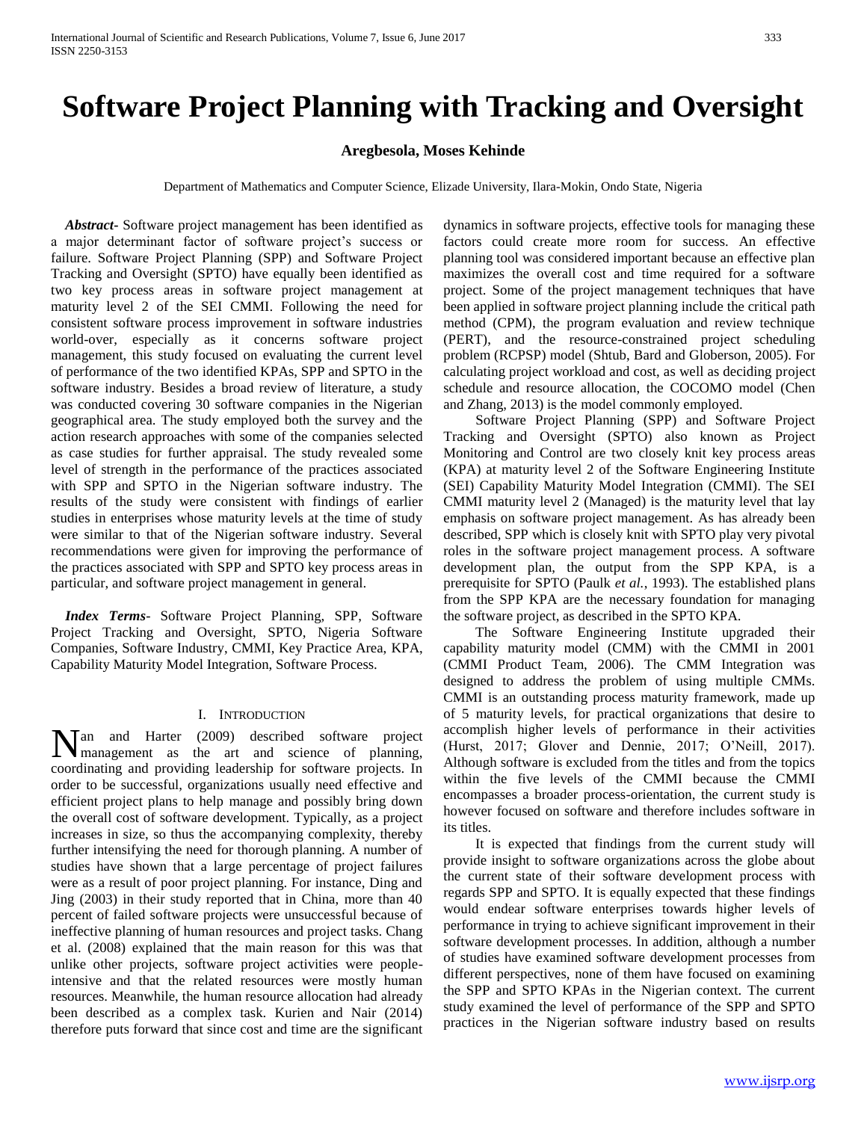# **Software Project Planning with Tracking and Oversight**

### **Aregbesola, Moses Kehinde**

Department of Mathematics and Computer Science, Elizade University, Ilara-Mokin, Ondo State, Nigeria

 *Abstract***-** Software project management has been identified as a major determinant factor of software project's success or failure. Software Project Planning (SPP) and Software Project Tracking and Oversight (SPTO) have equally been identified as two key process areas in software project management at maturity level 2 of the SEI CMMI. Following the need for consistent software process improvement in software industries world-over, especially as it concerns software project management, this study focused on evaluating the current level of performance of the two identified KPAs, SPP and SPTO in the software industry. Besides a broad review of literature, a study was conducted covering 30 software companies in the Nigerian geographical area. The study employed both the survey and the action research approaches with some of the companies selected as case studies for further appraisal. The study revealed some level of strength in the performance of the practices associated with SPP and SPTO in the Nigerian software industry. The results of the study were consistent with findings of earlier studies in enterprises whose maturity levels at the time of study were similar to that of the Nigerian software industry. Several recommendations were given for improving the performance of the practices associated with SPP and SPTO key process areas in particular, and software project management in general.

 *Index Terms*- Software Project Planning, SPP, Software Project Tracking and Oversight, SPTO, Nigeria Software Companies, Software Industry, CMMI, Key Practice Area, KPA, Capability Maturity Model Integration, Software Process.

#### I. INTRODUCTION

an and Harter (2009) described software project Nan and Harter (2009) described software project management as the art and science of planning, coordinating and providing leadership for software projects. In order to be successful, organizations usually need effective and efficient project plans to help manage and possibly bring down the overall cost of software development. Typically, as a project increases in size, so thus the accompanying complexity, thereby further intensifying the need for thorough planning. A number of studies have shown that a large percentage of project failures were as a result of poor project planning. For instance, Ding and Jing (2003) in their study reported that in China, more than 40 percent of failed software projects were unsuccessful because of ineffective planning of human resources and project tasks. Chang et al. (2008) explained that the main reason for this was that unlike other projects, software project activities were peopleintensive and that the related resources were mostly human resources. Meanwhile, the human resource allocation had already been described as a complex task. Kurien and Nair (2014) therefore puts forward that since cost and time are the significant

dynamics in software projects, effective tools for managing these factors could create more room for success. An effective planning tool was considered important because an effective plan maximizes the overall cost and time required for a software project. Some of the project management techniques that have been applied in software project planning include the critical path method (CPM), the program evaluation and review technique (PERT), and the resource-constrained project scheduling problem (RCPSP) model (Shtub, Bard and Globerson, 2005). For calculating project workload and cost, as well as deciding project schedule and resource allocation, the COCOMO model (Chen and Zhang, 2013) is the model commonly employed.

 Software Project Planning (SPP) and Software Project Tracking and Oversight (SPTO) also known as Project Monitoring and Control are two closely knit key process areas (KPA) at maturity level 2 of the Software Engineering Institute (SEI) Capability Maturity Model Integration (CMMI). The SEI CMMI maturity level 2 (Managed) is the maturity level that lay emphasis on software project management. As has already been described, SPP which is closely knit with SPTO play very pivotal roles in the software project management process. A software development plan, the output from the SPP KPA, is a prerequisite for SPTO (Paulk *et al.*, 1993). The established plans from the SPP KPA are the necessary foundation for managing the software project, as described in the SPTO KPA.

 The Software Engineering Institute upgraded their capability maturity model (CMM) with the CMMI in 2001 (CMMI Product Team, 2006). The CMM Integration was designed to address the problem of using multiple CMMs. CMMI is an outstanding process maturity framework, made up of 5 maturity levels, for practical organizations that desire to accomplish higher levels of performance in their activities (Hurst, 2017; Glover and Dennie, 2017; O'Neill, 2017). Although software is excluded from the titles and from the topics within the five levels of the CMMI because the CMMI encompasses a broader process-orientation, the current study is however focused on software and therefore includes software in its titles.

 It is expected that findings from the current study will provide insight to software organizations across the globe about the current state of their software development process with regards SPP and SPTO. It is equally expected that these findings would endear software enterprises towards higher levels of performance in trying to achieve significant improvement in their software development processes. In addition, although a number of studies have examined software development processes from different perspectives, none of them have focused on examining the SPP and SPTO KPAs in the Nigerian context. The current study examined the level of performance of the SPP and SPTO practices in the Nigerian software industry based on results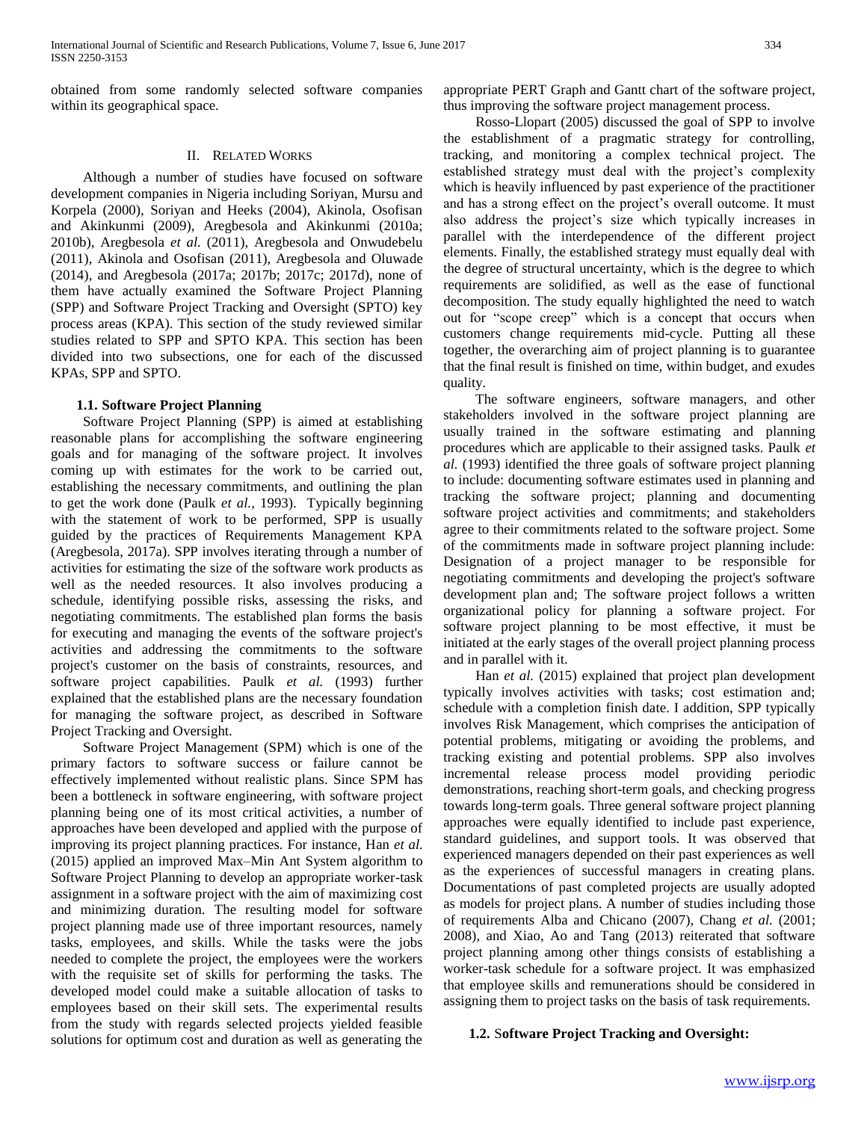obtained from some randomly selected software companies within its geographical space.

#### II. RELATED WORKS

 Although a number of studies have focused on software development companies in Nigeria including Soriyan, Mursu and Korpela (2000), Soriyan and Heeks (2004), Akinola, Osofisan and Akinkunmi (2009), Aregbesola and Akinkunmi (2010a; 2010b), Aregbesola *et al.* (2011), Aregbesola and Onwudebelu (2011), Akinola and Osofisan (2011), Aregbesola and Oluwade (2014), and Aregbesola (2017a; 2017b; 2017c; 2017d), none of them have actually examined the Software Project Planning (SPP) and Software Project Tracking and Oversight (SPTO) key process areas (KPA). This section of the study reviewed similar studies related to SPP and SPTO KPA. This section has been divided into two subsections, one for each of the discussed KPAs, SPP and SPTO.

### **1.1. Software Project Planning**

 Software Project Planning (SPP) is aimed at establishing reasonable plans for accomplishing the software engineering goals and for managing of the software project. It involves coming up with estimates for the work to be carried out, establishing the necessary commitments, and outlining the plan to get the work done (Paulk *et al.*, 1993). Typically beginning with the statement of work to be performed, SPP is usually guided by the practices of Requirements Management KPA (Aregbesola, 2017a). SPP involves iterating through a number of activities for estimating the size of the software work products as well as the needed resources. It also involves producing a schedule, identifying possible risks, assessing the risks, and negotiating commitments. The established plan forms the basis for executing and managing the events of the software project's activities and addressing the commitments to the software project's customer on the basis of constraints, resources, and software project capabilities. Paulk *et al.* (1993) further explained that the established plans are the necessary foundation for managing the software project, as described in Software Project Tracking and Oversight.

 Software Project Management (SPM) which is one of the primary factors to software success or failure cannot be effectively implemented without realistic plans. Since SPM has been a bottleneck in software engineering, with software project planning being one of its most critical activities, a number of approaches have been developed and applied with the purpose of improving its project planning practices. For instance, Han *et al.* (2015) applied an improved Max–Min Ant System algorithm to Software Project Planning to develop an appropriate worker-task assignment in a software project with the aim of maximizing cost and minimizing duration. The resulting model for software project planning made use of three important resources, namely tasks, employees, and skills. While the tasks were the jobs needed to complete the project, the employees were the workers with the requisite set of skills for performing the tasks. The developed model could make a suitable allocation of tasks to employees based on their skill sets. The experimental results from the study with regards selected projects yielded feasible solutions for optimum cost and duration as well as generating the

appropriate PERT Graph and Gantt chart of the software project, thus improving the software project management process.

 Rosso-Llopart (2005) discussed the goal of SPP to involve the establishment of a pragmatic strategy for controlling, tracking, and monitoring a complex technical project. The established strategy must deal with the project's complexity which is heavily influenced by past experience of the practitioner and has a strong effect on the project's overall outcome. It must also address the project's size which typically increases in parallel with the interdependence of the different project elements. Finally, the established strategy must equally deal with the degree of structural uncertainty, which is the degree to which requirements are solidified, as well as the ease of functional decomposition. The study equally highlighted the need to watch out for "scope creep" which is a concept that occurs when customers change requirements mid-cycle. Putting all these together, the overarching aim of project planning is to guarantee that the final result is finished on time, within budget, and exudes quality.

 The software engineers, software managers, and other stakeholders involved in the software project planning are usually trained in the software estimating and planning procedures which are applicable to their assigned tasks. Paulk *et al.* (1993) identified the three goals of software project planning to include: documenting software estimates used in planning and tracking the software project; planning and documenting software project activities and commitments; and stakeholders agree to their commitments related to the software project. Some of the commitments made in software project planning include: Designation of a project manager to be responsible for negotiating commitments and developing the project's software development plan and; The software project follows a written organizational policy for planning a software project. For software project planning to be most effective, it must be initiated at the early stages of the overall project planning process and in parallel with it.

 Han *et al.* (2015) explained that project plan development typically involves activities with tasks; cost estimation and; schedule with a completion finish date. I addition, SPP typically involves Risk Management, which comprises the anticipation of potential problems, mitigating or avoiding the problems, and tracking existing and potential problems. SPP also involves incremental release process model providing periodic demonstrations, reaching short-term goals, and checking progress towards long-term goals. Three general software project planning approaches were equally identified to include past experience, standard guidelines, and support tools. It was observed that experienced managers depended on their past experiences as well as the experiences of successful managers in creating plans. Documentations of past completed projects are usually adopted as models for project plans. A number of studies including those of requirements Alba and Chicano (2007), Chang *et al.* (2001; 2008), and Xiao, Ao and Tang (2013) reiterated that software project planning among other things consists of establishing a worker-task schedule for a software project. It was emphasized that employee skills and remunerations should be considered in assigning them to project tasks on the basis of task requirements.

### **1.2.** S**oftware Project Tracking and Oversight:**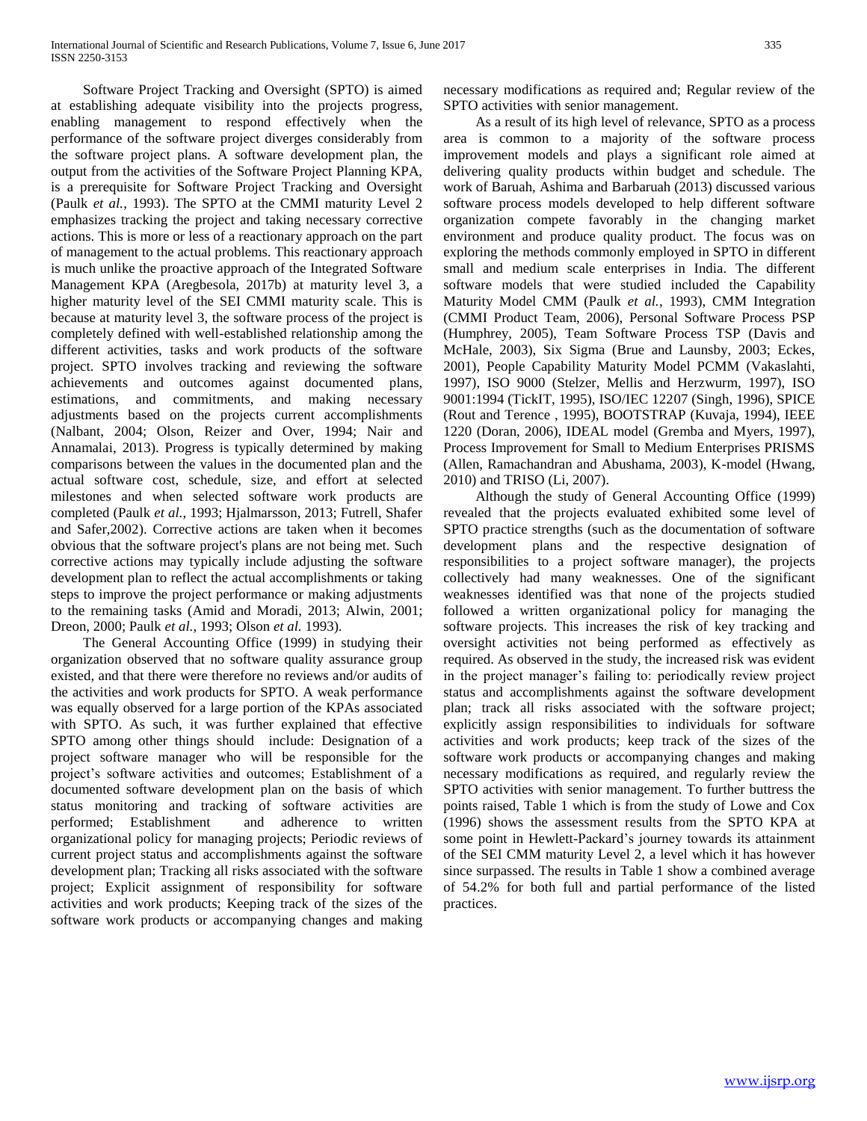Software Project Tracking and Oversight (SPTO) is aimed at establishing adequate visibility into the projects progress, enabling management to respond effectively when the performance of the software project diverges considerably from the software project plans. A software development plan, the output from the activities of the Software Project Planning KPA, is a prerequisite for Software Project Tracking and Oversight (Paulk *et al.*, 1993). The SPTO at the CMMI maturity Level 2 emphasizes tracking the project and taking necessary corrective actions. This is more or less of a reactionary approach on the part of management to the actual problems. This reactionary approach is much unlike the proactive approach of the Integrated Software Management KPA (Aregbesola, 2017b) at maturity level 3, a higher maturity level of the SEI CMMI maturity scale. This is because at maturity level 3, the software process of the project is completely defined with well-established relationship among the different activities, tasks and work products of the software project. SPTO involves tracking and reviewing the software achievements and outcomes against documented plans, estimations, and commitments, and making necessary adjustments based on the projects current accomplishments (Nalbant, 2004; Olson, Reizer and Over, 1994; Nair and Annamalai, 2013). Progress is typically determined by making comparisons between the values in the documented plan and the actual software cost, schedule, size, and effort at selected milestones and when selected software work products are completed (Paulk *et al.*, 1993; Hjalmarsson, 2013; Futrell, Shafer and Safer,2002). Corrective actions are taken when it becomes obvious that the software project's plans are not being met. Such corrective actions may typically include adjusting the software development plan to reflect the actual accomplishments or taking steps to improve the project performance or making adjustments to the remaining tasks (Amid and Moradi, 2013; Alwin, 2001; Dreon, 2000; Paulk *et al.*, 1993; Olson *et al.* 1993).

 The General Accounting Office (1999) in studying their organization observed that no software quality assurance group existed, and that there were therefore no reviews and/or audits of the activities and work products for SPTO. A weak performance was equally observed for a large portion of the KPAs associated with SPTO. As such, it was further explained that effective SPTO among other things should include: Designation of a project software manager who will be responsible for the project's software activities and outcomes; Establishment of a documented software development plan on the basis of which status monitoring and tracking of software activities are performed; Establishment and adherence to written organizational policy for managing projects; Periodic reviews of current project status and accomplishments against the software development plan; Tracking all risks associated with the software project; Explicit assignment of responsibility for software activities and work products; Keeping track of the sizes of the software work products or accompanying changes and making

necessary modifications as required and; Regular review of the SPTO activities with senior management.

 As a result of its high level of relevance, SPTO as a process area is common to a majority of the software process improvement models and plays a significant role aimed at delivering quality products within budget and schedule. The work of Baruah, Ashima and Barbaruah (2013) discussed various software process models developed to help different software organization compete favorably in the changing market environment and produce quality product. The focus was on exploring the methods commonly employed in SPTO in different small and medium scale enterprises in India. The different software models that were studied included the Capability Maturity Model CMM (Paulk *et al.*, 1993), CMM Integration (CMMI Product Team, 2006), Personal Software Process PSP (Humphrey, 2005), Team Software Process TSP (Davis and McHale, 2003), Six Sigma (Brue and Launsby, 2003; Eckes, 2001), People Capability Maturity Model PCMM (Vakaslahti, 1997), ISO 9000 (Stelzer, Mellis and Herzwurm, 1997), ISO 9001:1994 (TickIT, 1995), ISO/IEC 12207 (Singh, 1996), SPICE (Rout and Terence , 1995), BOOTSTRAP (Kuvaja, 1994), IEEE 1220 (Doran, 2006), IDEAL model (Gremba and Myers, 1997), Process Improvement for Small to Medium Enterprises PRISMS (Allen, Ramachandran and Abushama, 2003), K-model (Hwang, 2010) and TRISO (Li, 2007).

 Although the study of General Accounting Office (1999) revealed that the projects evaluated exhibited some level of SPTO practice strengths (such as the documentation of software development plans and the respective designation of responsibilities to a project software manager), the projects collectively had many weaknesses. One of the significant weaknesses identified was that none of the projects studied followed a written organizational policy for managing the software projects. This increases the risk of key tracking and oversight activities not being performed as effectively as required. As observed in the study, the increased risk was evident in the project manager's failing to: periodically review project status and accomplishments against the software development plan; track all risks associated with the software project; explicitly assign responsibilities to individuals for software activities and work products; keep track of the sizes of the software work products or accompanying changes and making necessary modifications as required, and regularly review the SPTO activities with senior management. To further buttress the points raised, Table 1 which is from the study of Lowe and Cox (1996) shows the assessment results from the SPTO KPA at some point in Hewlett-Packard's journey towards its attainment of the SEI CMM maturity Level 2, a level which it has however since surpassed. The results in Table 1 show a combined average of 54.2% for both full and partial performance of the listed practices.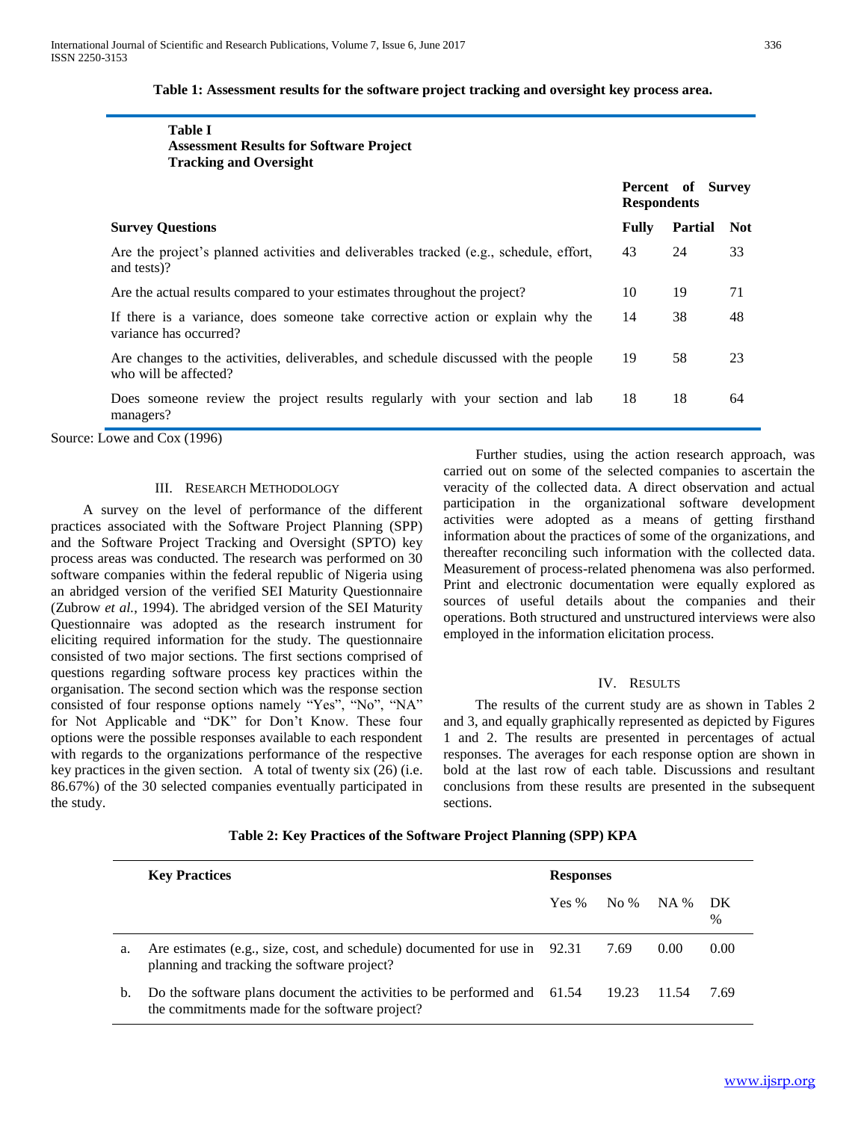| ×         | ×   | ۰.          |
|-----------|-----|-------------|
|           |     |             |
| ۰.<br>- - | . . | ٦<br>$\sim$ |

### **Table 1: Assessment results for the software project tracking and oversight key process area.**

| <b>Table I</b><br><b>Assessment Results for Software Project</b><br><b>Tracking and Oversight</b>            |                                         |                |            |
|--------------------------------------------------------------------------------------------------------------|-----------------------------------------|----------------|------------|
|                                                                                                              | Percent of Survey<br><b>Respondents</b> |                |            |
| <b>Survey Questions</b>                                                                                      | <b>Fully</b>                            | <b>Partial</b> | <b>Not</b> |
| Are the project's planned activities and deliverables tracked (e.g., schedule, effort,<br>and tests)?        | 43                                      | 24             | 33         |
| Are the actual results compared to your estimates throughout the project?                                    | 10                                      | 19             | 71         |
| If there is a variance, does someone take corrective action or explain why the<br>variance has occurred?     | 14                                      | 38             | 48         |
| Are changes to the activities, deliverables, and schedule discussed with the people<br>who will be affected? | 19                                      | 58             | 23         |
| Does someone review the project results regularly with your section and lab<br>managers?                     | 18                                      | 18             | 64         |

Source: Lowe and Cox (1996)

#### III. RESEARCH METHODOLOGY

 A survey on the level of performance of the different practices associated with the Software Project Planning (SPP) and the Software Project Tracking and Oversight (SPTO) key process areas was conducted. The research was performed on 30 software companies within the federal republic of Nigeria using an abridged version of the verified SEI Maturity Questionnaire (Zubrow *et al.*, 1994). The abridged version of the SEI Maturity Questionnaire was adopted as the research instrument for eliciting required information for the study. The questionnaire consisted of two major sections. The first sections comprised of questions regarding software process key practices within the organisation. The second section which was the response section consisted of four response options namely "Yes", "No", "NA" for Not Applicable and "DK" for Don't Know. These four options were the possible responses available to each respondent with regards to the organizations performance of the respective key practices in the given section. A total of twenty six (26) (i.e. 86.67%) of the 30 selected companies eventually participated in the study.

 Further studies, using the action research approach, was carried out on some of the selected companies to ascertain the veracity of the collected data. A direct observation and actual participation in the organizational software development activities were adopted as a means of getting firsthand information about the practices of some of the organizations, and thereafter reconciling such information with the collected data. Measurement of process-related phenomena was also performed. Print and electronic documentation were equally explored as sources of useful details about the companies and their operations. Both structured and unstructured interviews were also employed in the information elicitation process.

#### IV. RESULTS

 The results of the current study are as shown in Tables 2 and 3, and equally graphically represented as depicted by Figures 1 and 2. The results are presented in percentages of actual responses. The averages for each response option are shown in bold at the last row of each table. Discussions and resultant conclusions from these results are presented in the subsequent sections.

|             | <b>Key Practices</b>                                                                                                                  | <b>Responses</b> |                |      |           |
|-------------|---------------------------------------------------------------------------------------------------------------------------------------|------------------|----------------|------|-----------|
|             |                                                                                                                                       | Yes %            | $N_0$ % $NA$ % |      | - DK<br>% |
| a.          | Are estimates (e.g., size, cost, and schedule) documented for use in 92.31<br>planning and tracking the software project?             |                  | 7.69           | 0.00 | 0.00      |
| $b_{\cdot}$ | Do the software plans document the activities to be performed and 61.54 19.23 11.54<br>the commitments made for the software project? |                  |                |      | 7.69      |

#### **Table 2: Key Practices of the Software Project Planning (SPP) KPA**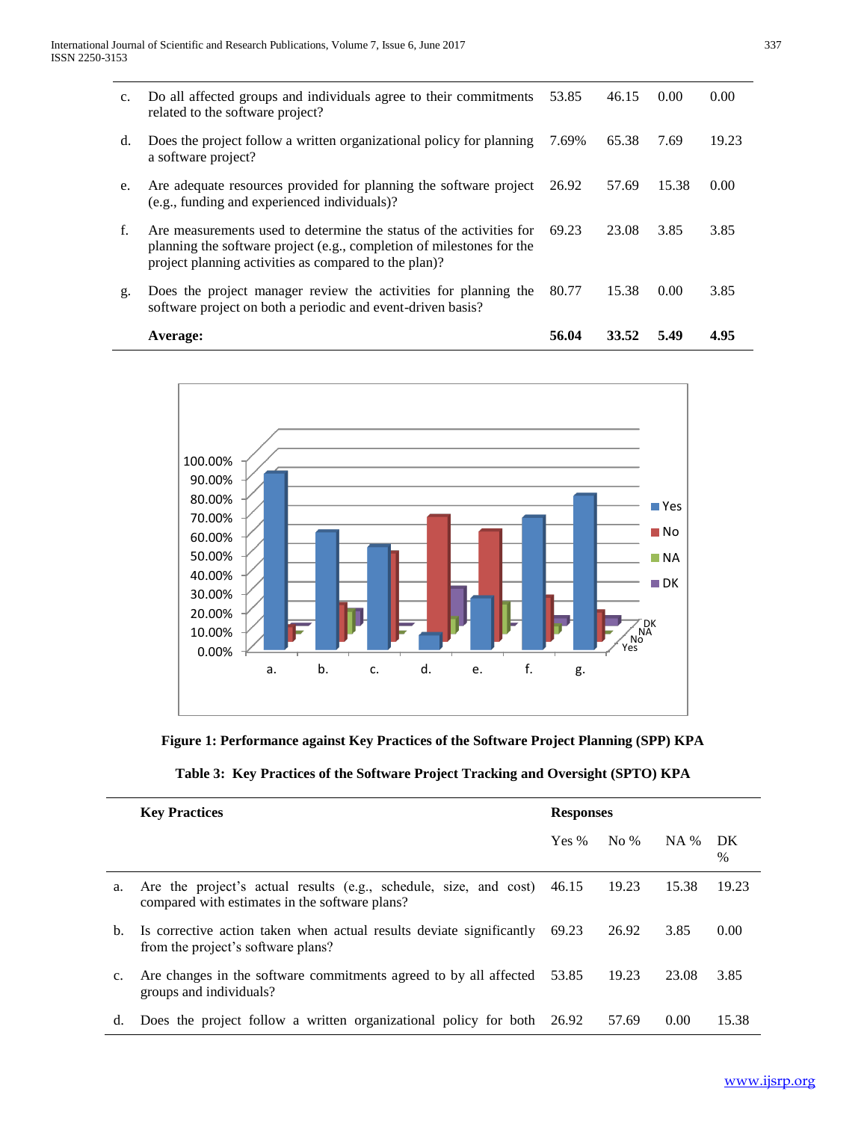|                | Average:                                                                                                                                                                                              | 56.04 | 33.52 | 5.49  | 4.95  |
|----------------|-------------------------------------------------------------------------------------------------------------------------------------------------------------------------------------------------------|-------|-------|-------|-------|
| g.             | Does the project manager review the activities for planning the<br>software project on both a periodic and event-driven basis?                                                                        | 80.77 | 15.38 | 0.00  | 3.85  |
| f.             | Are measurements used to determine the status of the activities for<br>planning the software project (e.g., completion of milestones for the<br>project planning activities as compared to the plan)? | 69.23 | 23.08 | 3.85  | 3.85  |
| e.             | Are adequate resources provided for planning the software project<br>(e.g., funding and experienced individuals)?                                                                                     | 26.92 | 57.69 | 15.38 | 0.00  |
| d.             | Does the project follow a written organizational policy for planning<br>a software project?                                                                                                           | 7.69% | 65.38 | 7.69  | 19.23 |
| $\mathbf{c}$ . | Do all affected groups and individuals agree to their commitments<br>related to the software project?                                                                                                 | 53.85 | 46.15 | 0.00  | 0.00  |



## **Figure 1: Performance against Key Practices of the Software Project Planning (SPP) KPA**

| Table 3: Key Practices of the Software Project Tracking and Oversight (SPTO) KPA |  |  |  |
|----------------------------------------------------------------------------------|--|--|--|
|----------------------------------------------------------------------------------|--|--|--|

|    | <b>Key Practices</b>                                                                                                      | <b>Responses</b> |        |             |            |
|----|---------------------------------------------------------------------------------------------------------------------------|------------------|--------|-------------|------------|
|    |                                                                                                                           | Yes $%$          | No $%$ | <b>NA</b> % | DK<br>$\%$ |
| a. | Are the project's actual results (e.g., schedule, size, and cost) 46.15<br>compared with estimates in the software plans? |                  | 19.23  | 15.38       | 19.23      |
| b. | Is corrective action taken when actual results deviate significantly<br>from the project's software plans?                | 69.23            | 26.92  | 3.85        | 0.00       |
| c. | Are changes in the software commitments agreed to by all affected 53.85<br>groups and individuals?                        |                  | 19.23  | 23.08       | 3.85       |
| d. | Does the project follow a written organizational policy for both 26.92                                                    |                  | 57.69  | 0.00        | 15.38      |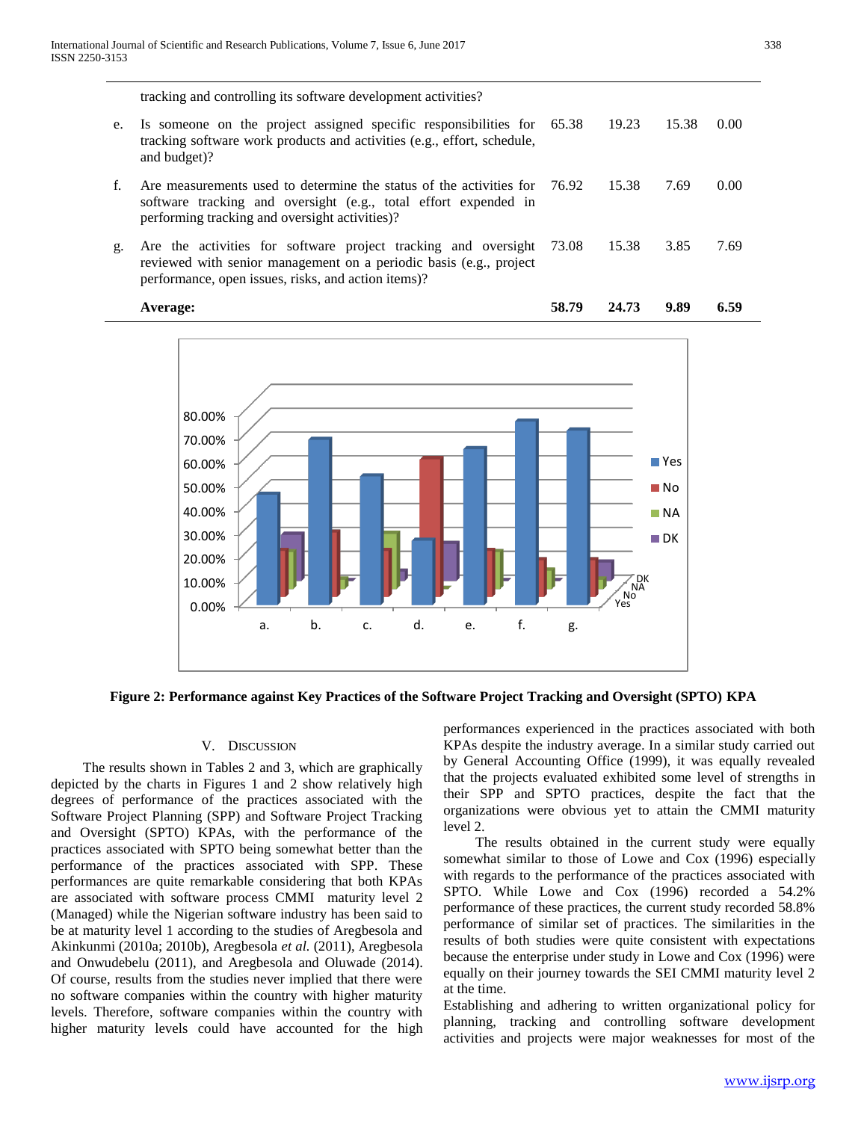tracking and controlling its software development activities?

e. Is someone on the project assigned specific responsibilities for tracking software work products and activities (e.g., effort, schedule, and budget)? 65.38 19.23 15.38 0.00 f. Are measurements used to determine the status of the activities for software tracking and oversight (e.g., total effort expended in performing tracking and oversight activities)? 76.92 15.38 7.69 0.00 g. Are the activities for software project tracking and oversight reviewed with senior management on a periodic basis (e.g., project performance, open issues, risks, and action items)? 73.08 15.38 3.85 7.69





#### **Figure 2: Performance against Key Practices of the Software Project Tracking and Oversight (SPTO) KPA**

#### V. DISCUSSION

 The results shown in Tables 2 and 3, which are graphically depicted by the charts in Figures 1 and 2 show relatively high degrees of performance of the practices associated with the Software Project Planning (SPP) and Software Project Tracking and Oversight (SPTO) KPAs, with the performance of the practices associated with SPTO being somewhat better than the performance of the practices associated with SPP. These performances are quite remarkable considering that both KPAs are associated with software process CMMI maturity level 2 (Managed) while the Nigerian software industry has been said to be at maturity level 1 according to the studies of Aregbesola and Akinkunmi (2010a; 2010b), Aregbesola *et al.* (2011), Aregbesola and Onwudebelu (2011), and Aregbesola and Oluwade (2014). Of course, results from the studies never implied that there were no software companies within the country with higher maturity levels. Therefore, software companies within the country with higher maturity levels could have accounted for the high

performances experienced in the practices associated with both KPAs despite the industry average. In a similar study carried out by General Accounting Office (1999), it was equally revealed that the projects evaluated exhibited some level of strengths in their SPP and SPTO practices, despite the fact that the organizations were obvious yet to attain the CMMI maturity level 2.

 The results obtained in the current study were equally somewhat similar to those of Lowe and Cox (1996) especially with regards to the performance of the practices associated with SPTO. While Lowe and Cox (1996) recorded a 54.2% performance of these practices, the current study recorded 58.8% performance of similar set of practices. The similarities in the results of both studies were quite consistent with expectations because the enterprise under study in Lowe and Cox (1996) were equally on their journey towards the SEI CMMI maturity level 2 at the time.

Establishing and adhering to written organizational policy for planning, tracking and controlling software development activities and projects were major weaknesses for most of the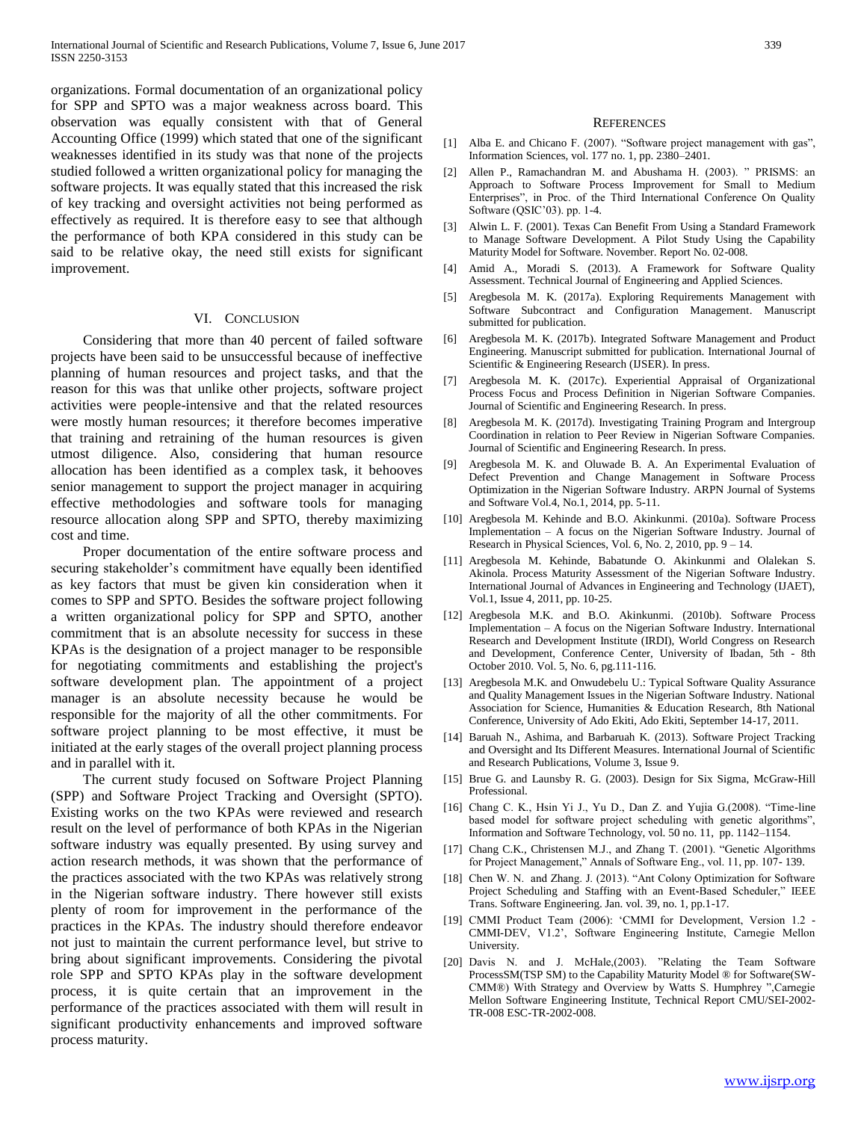organizations. Formal documentation of an organizational policy for SPP and SPTO was a major weakness across board. This observation was equally consistent with that of General Accounting Office (1999) which stated that one of the significant weaknesses identified in its study was that none of the projects studied followed a written organizational policy for managing the software projects. It was equally stated that this increased the risk of key tracking and oversight activities not being performed as effectively as required. It is therefore easy to see that although the performance of both KPA considered in this study can be said to be relative okay, the need still exists for significant improvement.

#### VI. CONCLUSION

 Considering that more than 40 percent of failed software projects have been said to be unsuccessful because of ineffective planning of human resources and project tasks, and that the reason for this was that unlike other projects, software project activities were people-intensive and that the related resources were mostly human resources; it therefore becomes imperative that training and retraining of the human resources is given utmost diligence. Also, considering that human resource allocation has been identified as a complex task, it behooves senior management to support the project manager in acquiring effective methodologies and software tools for managing resource allocation along SPP and SPTO, thereby maximizing cost and time.

 Proper documentation of the entire software process and securing stakeholder's commitment have equally been identified as key factors that must be given kin consideration when it comes to SPP and SPTO. Besides the software project following a written organizational policy for SPP and SPTO, another commitment that is an absolute necessity for success in these KPAs is the designation of a project manager to be responsible for negotiating commitments and establishing the project's software development plan. The appointment of a project manager is an absolute necessity because he would be responsible for the majority of all the other commitments. For software project planning to be most effective, it must be initiated at the early stages of the overall project planning process and in parallel with it.

 The current study focused on Software Project Planning (SPP) and Software Project Tracking and Oversight (SPTO). Existing works on the two KPAs were reviewed and research result on the level of performance of both KPAs in the Nigerian software industry was equally presented. By using survey and action research methods, it was shown that the performance of the practices associated with the two KPAs was relatively strong in the Nigerian software industry. There however still exists plenty of room for improvement in the performance of the practices in the KPAs. The industry should therefore endeavor not just to maintain the current performance level, but strive to bring about significant improvements. Considering the pivotal role SPP and SPTO KPAs play in the software development process, it is quite certain that an improvement in the performance of the practices associated with them will result in significant productivity enhancements and improved software process maturity.

#### **REFERENCES**

- [1] Alba E. and Chicano F. (2007). "Software project management with gas", Information Sciences, vol. 177 no. 1, pp. 2380–2401.
- [2] Allen P., Ramachandran M. and Abushama H. (2003). " PRISMS: an Approach to Software Process Improvement for Small to Medium Enterprises", in Proc. of the Third International Conference On Quality Software (QSIC'03). pp. 1-4.
- [3] Alwin L. F. (2001). Texas Can Benefit From Using a Standard Framework to Manage Software Development. A Pilot Study Using the Capability Maturity Model for Software. November. Report No. 02-008.
- [4] Amid A., Moradi S. (2013). A Framework for Software Quality Assessment. Technical Journal of Engineering and Applied Sciences.
- [5] Aregbesola M. K. (2017a). Exploring Requirements Management with Software Subcontract and Configuration Management. Manuscript submitted for publication.
- Aregbesola M. K. (2017b). Integrated Software Management and Product Engineering. Manuscript submitted for publication. International Journal of Scientific & Engineering Research (IJSER). In press.
- [7] Aregbesola M. K. (2017c). Experiential Appraisal of Organizational Process Focus and Process Definition in Nigerian Software Companies. Journal of Scientific and Engineering Research. In press.
- [8] Aregbesola M. K. (2017d). Investigating Training Program and Intergroup Coordination in relation to Peer Review in Nigerian Software Companies. Journal of Scientific and Engineering Research. In press.
- [9] Aregbesola M. K. and Oluwade B. A. An Experimental Evaluation of Defect Prevention and Change Management in Software Process Optimization in the Nigerian Software Industry. ARPN Journal of Systems and Software Vol.4, No.1, 2014, pp. 5-11.
- [10] Aregbesola M. Kehinde and B.O. Akinkunmi. (2010a). Software Process Implementation – A focus on the Nigerian Software Industry. Journal of Research in Physical Sciences, Vol. 6, No. 2, 2010, pp. 9 – 14.
- [11] Aregbesola M. Kehinde, Babatunde O. Akinkunmi and Olalekan S. Akinola. Process Maturity Assessment of the Nigerian Software Industry. International Journal of Advances in Engineering and Technology (IJAET), Vol.1, Issue 4, 2011, pp. 10-25.
- [12] Aregbesola M.K. and B.O. Akinkunmi. (2010b). Software Process Implementation – A focus on the Nigerian Software Industry. International Research and Development Institute (IRDI), World Congress on Research and Development, Conference Center, University of Ibadan, 5th - 8th October 2010. Vol. 5, No. 6, pg.111-116.
- [13] Aregbesola M.K. and Onwudebelu U.: Typical Software Quality Assurance and Quality Management Issues in the Nigerian Software Industry. National Association for Science, Humanities & Education Research, 8th National Conference, University of Ado Ekiti, Ado Ekiti, September 14-17, 2011.
- [14] Baruah N., Ashima, and Barbaruah K. (2013). Software Project Tracking and Oversight and Its Different Measures. International Journal of Scientific and Research Publications, Volume 3, Issue 9.
- [15] Brue G. and Launsby R. G. (2003). Design for Six Sigma, McGraw-Hill Professional.
- [16] Chang C. K., Hsin Yi J., Yu D., Dan Z. and Yujia G.(2008). "Time-line based model for software project scheduling with genetic algorithms", Information and Software Technology, vol. 50 no. 11, pp. 1142–1154.
- [17] Chang C.K., Christensen M.J., and Zhang T. (2001). "Genetic Algorithms for Project Management," Annals of Software Eng., vol. 11, pp. 107- 139.
- [18] Chen W. N. and Zhang. J. (2013). "Ant Colony Optimization for Software Project Scheduling and Staffing with an Event-Based Scheduler," IEEE Trans. Software Engineering. Jan. vol. 39, no. 1, pp.1-17.
- [19] CMMI Product Team (2006): 'CMMI for Development, Version 1.2 -CMMI-DEV, V1.2', Software Engineering Institute, Carnegie Mellon University.
- [20] Davis N. and J. McHale,(2003). "Relating the Team Software ProcessSM(TSP SM) to the Capability Maturity Model ® for Software(SW-CMM®) With Strategy and Overview by Watts S. Humphrey ",Carnegie Mellon Software Engineering Institute, Technical Report CMU/SEI-2002- TR-008 ESC-TR-2002-008.